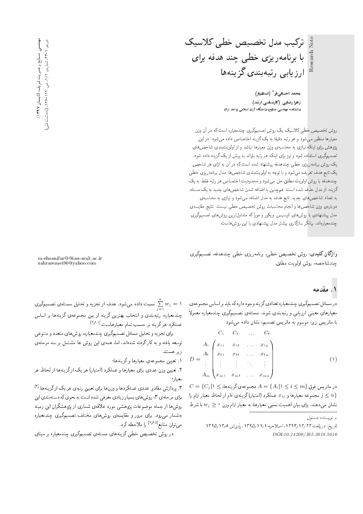Note با برنامەريزى خطى چند هدفه براى

> هحمد احسانیففر<sup>\*</sup> (استادیار) زهرا رضای<sub>ی</sub> (کارشناسی ارشد) دانشکده مهندسی صنایع، دانشگاه آزاد اسلامی واحد اراك

ارزيابي رتبهبندي گزينهها

تركيب مدل تخصيص خطى كلاسيك

روش تخصیص خطی کلاسیک یک روش تصمیمگیری چندمعیاره است که در آن وزن معیارها منظور می شود و هر رتبه دقیقاً به یک گزینه اختصاص داده می شود. در این<br>میسین میدان این منا پژوهش برای اینکه نیازی به محاسبهی وزن معیارها نباشد و از اولویتبندی شاخص های تصمیمگیری استفاده شود و نیز برای اینکه هر رتبه بتواند به بیش از یک گزینه داده شود. یک روش برنامهریزی خطی چندهدفه پیشنهاد شده است که در آن به ازای هر شاخص، يک تابع هدف تعريف مي شود و با توجه به اولويتبندى شاخص ها، مدل برنامهريزى خطى چندهدفه با روش اولویت مطلق حل میشود و محدودیت اختصاص هر رتبه فقط به یک گزینه، از مدل حذف شده است. همچنین با اضافه شدن شاخص های جدید به یک مسئله، به تعداد شاخص هاى جديد. تابع هدف به مدل اضافه مى شود و نيازى به محاسبهى دوبارهى وزن شاخصها و انجام محاسبات روش تخصيص خطى نيست. نتايج مقايسهى مدل پیشنهادی با روش های تاپسیس، ویکور و مورآ که متداول ترین روش های تصمیمگیری چندمعیارهاند، بیانگر سازگاری بیشتر مدل پیشنهادی با این روش هاست.

واژگان كليدي: روش تخصيص خطى، برنامەريزى خطى چندھدفه، تصميمگيرى حندشاخصه، روش اولويت مطلق.

m-ehsanifar@@iau-arak.ac.ir zahrarezaei90@yahoo.com

#### ۱. مقدمه

در مسائل تصمیمگیری چندمعیاره تعدادیگز ینه وجود داردکه باید بر اساس مجموعهی معیارهای معینی ارزیابی و رتبهبندی شوند. مسئلهی تصمیمگیری چندمعیاره معمولاً با ماتریس زیر، موسوم به ماتریس تصمیم، نشان داده می شود:

$$
D = \begin{pmatrix} C_1 & C_1 & \dots & C_r \\ A_1 & x_{11} & \dots & x_{1n} \\ x_{11} & x_{11} & \dots & x_{1n} \\ \vdots & \vdots & \ddots & \vdots \\ A_m & x_m_1 & x_m_1 & \dots & x_{mn} \end{pmatrix} \tag{1}
$$

 $C = \{C_j \, | \, \backslash \le i$  در ماتریس فوق  $A = \{A_i \, | \, \backslash \le i \le m\}$  مجموعهی گزینهها، مجموعه معیارها و  $x_{ij}$  عملکرد (امتیاز)گزینهی  $i$ ام از لحاظ معیار  $j$ ام را  $\le n\}$ نشان میدهند. برای بیان اهمیت نسببی معیارها، به معیار  $j$ ام وزن  $y_j \geq w_j$  با شرط

و پسنده مسئول  $\downarrow$ 

تاريخ: دريافت ١٣٩٢/١٣٩٣، اصلاحيه ١/١١/١٣٩٥، يذيرش ١٣٩٥/١٢٨ . DOI:10.24200/J65.2018.5610

سبب داده میسود. هدف از نجزیه و تحلیل مستلهی تصمیم نیری<br>.  $\sum_{j=1}^n w_j = 1$  $j=1$ چمدمعیاره، رتبهبندی و اسحاب بهترین درینه از بین مجموعهی درینه ها بر اساس<br>جملهعیاره، رتبهبندی و استحاب ایل این از این ا عملکرد هرگزینه بر حسب تمام معیارهاست.<sup>[۳٫۳</sup>۰۱]<br>سالمیت میلمان است امام ک

برای تجزیه و تحلیل مسائل تصمیمگیری چندمعیاره، روش های متعدد و متنوعی توسعه يافته و به كارگرفته شدهاند. اما، همهى اين روش ها مشتمل بر سه مرحلهى ز بر هستند:

۰۱ تعیین مجموعهی معیارها و گزینهها؛

۲. تعیین وزن عددی برای معیارها و عملکرد (امتیاز) هر یک از گزینهها از لحاظ هر<br>معیار؛

معیار:<br>۳. بردازش مقادر. عددی عملکردها و وزن ها برای تعیین رتبهی هر یک ازگزینهها.<sup>[۶]</sup> ۰۱ پردازس مقادیر عددی عمد ردها و وزن ها برای تعیین رسهی هر یک آز در یه ها.<br>ا برای مرحلهی ۱، روس های بسیار زیادی معرفی سده اسب به نحوی نه دستهبندی این<br>مصطلحات است. روشها از جمله موضوعات پژوهشی مورد علاقهی شماری از پژوهشگران این زمینه بهشمار میرود. برای مرور و مقایسهی روشهای مختلف تصمیمگیری چندمعیاره میتوان منابع<sup>[۷٫۶٬۵]</sup> را ملاحظه کرد.<br>مسکول

در روش تخصیص خطی گزینههای مسئلهی تصمیمگیری چندمعیاره بر مبنای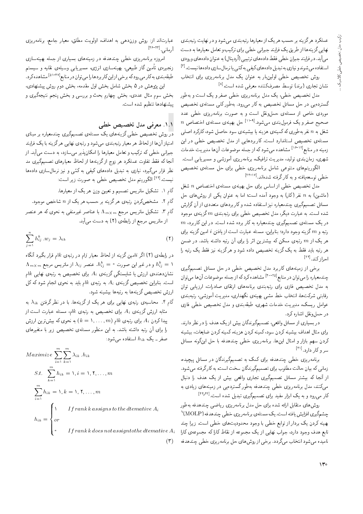عملکرد هرگزینه بر حسب هر یک از معیارها رتبهبندی می شود و در نهایت رتبهبندی نهایی گزینهها از طریق یک فرایند جبرانی خطی برای ترکیب و تعامل معیارها به دست می آید. در فرایند جبران خطی فقط دادههای ترتیبی (اُردینال) به عنوان دادههای ورودی استفاده می شوندو نیازی به تبدیل دادههای کیفی به کمّی یا نرمال سازی دادهها نیست. <sup>[۳]</sup>

روش تخصیص خطی اولینبار به عنوان یک مدل برنامهریزی برای انتخاب نشان تجاری (برند) توسط مصرفکننده معرفی شده است. <sup>[۸]</sup>

مدل تخصیص خطی، یک مدل برنامهریزی خطی صفر و یک است و بهطور گستردهیی در حل مسائل تخصیص به کار می رود. بهطور کلی مسئلهی تخصیص .<br>موردی خاص از مسئلهی حملونقل است و به صورت برنامهریزی خطی عدد  $n$  صحیح صفر و یک فرمولبندی میشود. $^{\left[ 1\right] -\left[ 1\right] }$  حل بهینهی مسئلهی اختصاص .<br>شغل به n نفر بهطوري كه كمينهي هزينه يا بيشينهي سود حاصل شود، كاركرد اصلي مسئلهی تخصیص استاندارد است. کاربردهایی از مدل تخصیص خطی در این زمینه در منابع<sup>[۱۶-۱۲]</sup> مشاهده میشود که از جمله موضوعات آنها مدیریت خدمات شهری، زمان بندی تولید، مدیریت ترافیک، برنامهریزی آموزشی و مسیریابی است.

الگوریتمهای متنوعی شامل برنامهریزی خطی برای حل مسئلهی تخصیص خطی توسعه یافته و به کار گرفته شدهاند.<sup>[۱۲ -</sup> ۱۲

مدل تخصیص خطی از اساس برای حل بهینهی مسئلهی اختصاص n شغل (ماشین) به n نفر (کار) به وجود آمده است؛ اما به عنوان یکی از روشهای حل مسائل تصمیمگیری چندمعیاره نیز استفاده شده و کاربردهای متعددی از آن گزارش شده است. به عبارت دیگر، مدل تخصیص خطی برای رتبهبندی  $m$  گزینهی موجود  $m$  در یک مسئلهی تصمیمگیری چندمعیاره به کار برده شده است. در این کاربرد، رتبه و  $m$  گزینه وجود دارد؛ بنابراین، مسئله عبارت است از یافتن  $i$  امین گزینه برای هر یک از  $m$  رتبهی ممکن که بیشترین اثر را برای آن رتبه داشته باشد. در ضمن هر رتبه باید فقط به یک گزینه تخصیص داده شود و هرگزینه نیز فقط یک رتبه را احراز كند. [11]

برخی از زمینههای کاربرد مدل تخصیص خطی در حل مسائل تصمیمگیری چندمعیاره را می توان در منابع<sup>[۲۰-۲۵]</sup> مشاهده کرد که از جمله موضوعات آن ها می توان به مدل تخصیص فازی برای رتبهبندی برنامههای ارتقای صادرات، ارزیابی توان رقابتی شرکتها، انتخاب خط مشی بهینهی نگهداری، مدیریت آموزشی، رتبهبندی عوامل ریسک، مدیریت خدمات شهری، طبقهبندی و مدل تخصیص خطی فازی در حملونقل اشاره کرد.

در بسیاری از مسائل واقعی، تصمیمگیرندگان بیش از یک هدف را در نظر دارند. برای مثال اهداف بیشینه کردن سود، کمینه کردن هزینه، کمینه کردن ضایعات، بیشینه کردن سهم بازار و امثال اینها. برنامهریزی خطبی چندهدفه با حل اینگونه مسائل سر و کار دارد.<sup>[۴۱]</sup>

برنامهریزی خطی چندهدفه برای کمک به تصمیمگیرندگان در مسائل پیچیده، زمانی که بیان حالت مطلوب برای تصمیمگیرندگان سخت است، به کار گرفته می شود. از آنجا که بیشتر مسائل تصمیمگیری تجاری واقعی بیش از یک هدف را دنبال میکنند، مدل برنامهریزی خطی چندهدفه بهطورگستردهیی در زمینههای زیادی به کار میرود و به یک ابزار مفید برای تصمیمگیری تبدیل شده است.[<sup>۴۲٫۴۲]</sup>

روش های متقابل ارائه شده برای حل مدل برنامهریزی ریاضبی چندهدفه بهطور چشمگیری افزایش یافته است. یک مسئله ی برنامهر یزی خطی چندهدفه (MOLP)<sup>۱</sup> بهینه کردن یک بردار از توابع خطی با وجود محدودیتهای خطی است. زیرا چند تابع هدف وجود دارد، جواب نهایی از یک مجموعه از نقاط کاراکه مجموعهی کارا نامیده میشود انتخاب میگردد. برخی از روش های حل برنامهریزی خطی چندهدفه

عبارتاند از: روش وزندهی به اهداف، اولویت مطلق، معیار جامع، برنامەریزی آدمانين [٢٤-٢٣]

امروزه برنامهریزی خطی چندهدفه در زمینههای بسیاری از جمله بهینهسازی زنجیره، تأمین گاز طبیعی، بهینهسازی انرژی، مسیریابی وسیلهی نقلیه و سیستم طبقهبندی به کارمی رودکه برخی از این کار بردها را می توان در منابع <sup>[۵۱-۲۷]</sup> مشاهده کرد. این پژوهش در ۵ بخش شامل بخش اول مقدمه، بخش دوم روش پیشنهادی،

بخش سوم مثال عددی، بخش چهارم بحث و بررسی و بخش پنجم نتیجهگیری و ييشنهادها تنظيم شده است.

#### ٠١.١ معرفي مدل تخصيص خطى

امتیاز آنها از لحاظ هر معیار رتبهبندی می شود و رتبهی نهایی هرگزینه با یک فرایند .<br>جبرانی خطی که ترکیب و تعامل معیارها را امکان پذیر می سازد، به دست می آید. از أنجاكه فقط تفاوت عملكرد هر زوج ازكزينهها از لحاظ معيارهاى تصميمگيرى مد نظر قرار میگیرد، نیازی به تبدیل دادههای کیفی به کمّی و نیز نرمالسازی دادهها نيست.<sup>[٢٢]</sup> الگوريتم مدل تخصيص خطي به صورت زير است:

- گام ۱. تشکیل ماتریس تصمیم و تعیین وزن هر یک از معیارها.
- گام ۲. مشخصکردن رتبهی هرگزینه بر حسب هر یک از n شاخص موجود.
- گام ۳. تشکیل ماتریس مرجع  $\Lambda_{m \times m}$  با عناصر غیرمنفی به نحوی که هر عنصر از ماتریس مرجع از رابطهی (۲) به دست میآید.

$$
\sum_{j=1}^{n} h_{ij}^{k} \cdot w_j = \lambda_{ik} \tag{7}
$$

در رابطهی (۲) اگر  $i$ امین گزینه از لحاظ معیار  $j$ ام در رتبهی  $k$ ام قرار بگیرد آنگاه  $\Lambda_{m\times m}$  و در غیر این صورت  $h_{ij}^k = h_{ij}^k = h_{ij}^k = \Lambda_{m\times m}$  و در غیر این صورت  $h_{ij}^k = 0$ نشاندهندهی ارزش یا شایستگی گزینهی  $A_i$  برای تخصیص به رتبهی نهایی  $k$ ام است. بنابراین تخصیص گزینهی  $A_i$  به رتبهی  $k$ ام باید به نحوی انجام شود که کل ارزش تخصیص گزینهها به رتبهها بیشینه شود.

گام ۴. محاسبه ی رتبه ی نهایی برای هر یک از گزینهها. با در نظرگرفتن  $\lambda_{ik}$  به مثابه ارزش گزینهی ،A برای تخصیص به رتبهی  $k$ ام، مسئله عبارت است از پیدا کردن ، $A_i$  برای رتبهی  $k$ ام  $(k = 1, \ldots, m)$  به نحوی که بیش ترین ارزش را برای آن رتبه داشته باشد. به این منظور مسئلهی تخصیص زیر با متغیرهای صفر ـ یک  $h_{ik}$  استفاده میشود:

$$
Maximize \sum_{i=1}^{m} \sum_{k=1}^{m} \lambda_{ik} \cdot h_{ik}
$$
  
\n
$$
S.t. \sum_{k=1}^{m} h_{ik} = 1, i = 1, 1, ..., m
$$
  
\n
$$
\sum_{i=1}^{m} h_{ik} = 1, k = 1, 1, ..., m
$$
  
\n
$$
h_{ik} = \begin{cases} 1 & \text{If rank } k \text{ assigns to the } d \text{tematic } A_i \\ or \\ 0 & \text{If rank } k \text{ does not assign to the } d \text{tematic } A \end{cases}
$$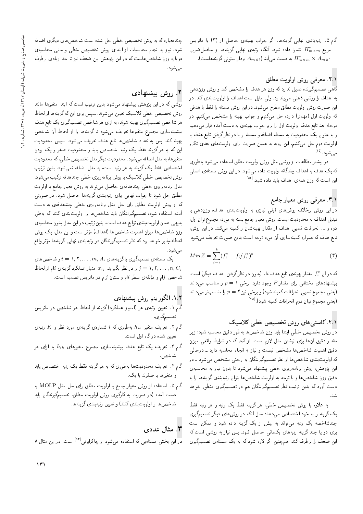گام ۵. رتبهبندی نهایی گزینهها. اگر جواب بهینهی حاصل از (۳) با ماتریس مربع  $H^*_{m\times m}$  نشان داده شود، آنگاه رتبهی نهایی گزینهها از حاصل ضرب به دست می آید  $A_{m\times n}$  بردار ستونی گزینههاست).  $H_{m\times m}^*\times A_{m\times n}$ 

### ۲.۱. معرفی روش اولویت مطلق

گاهی تصمیمگیرنده تمایل نداردکه وزن هر هدف را مشخص کند و روش وزن۵هی به اهداف را روشی ذهنی می پندارد. ولی مایل است اهداف را اولویتبندی کند. در این صورت روش اولویت مطلق مطرح میشود. در این روش مسئله را فقط با هدفی که اولویت اول (مهمتر) دارد، حل میکنیم و جواب بهینه را مشخص میکنیم. در مرحله بعد تابع هدف اولويت اول را برابر جواب بهينهى به دست أمده قرار مى دهيم و به عنوان یک محدودیت به مسئله اضافه و مسئله را با در نظرگرفتن تابع هدف با اولویت دوم حل میکنیم. این رویه به همین صورت برای اولویتهای بعدی تکرار می شود. <sup>[۱۵]</sup>

در بیشتر مطالعات از روشی مثل روش اولویت مطلق استفاده می شود بهطوری که یک هدف به اهداف چندگانه اولویت داده میشود. در این روش مسئلهی اصلی این است که وزن همهی اهداف باید داده شود.<sup>[۵۲]</sup>

### .۳.۱ معرفی روش معیار جامع

در این روش برخلاف روشهای قبلی نیازی به اولویتبندی اهداف، وزندهی یا تبدیل اهداف به محدودیت نیست. روش معیار جامع بسته به مورد، مجموع توان اول، دوم و … انحرافات نسبی اهداف از مقدار بهینهشان را کمینه میکند. در این روش، تابع هدف که همواره کمینهسازی آن مورد توجه است بدین صورت تعریف می شود:

$$
MinZ = \sum_{i=1}^{k} (f_i^* - f_i / f_i^*)^p
$$
 (†)

که در آن  $f_i^*$  مقدار بهینهی تابع هدف  $i$ ام (بدون در نظرگرفتن اهداف دیگر) است. پیشنهادهای مختلفی برای مقدار P وجود دارد. برخی ۱  $p=1$  را مناسب می $\mathfrak{sl}$ نند ایعنی مجموع نسبی انحرافات کمینه شود) و برخی نیز ۲ $p=1$  را مناسب تر میدانند (يعني مجموع توان دوم انحرافات كمينه شود).<sup>[۲۵]</sup>

#### ۴.۱. کاستی های روش تخصیص خطی کلاسیک

در روش تخصیص خطی ابتدا باید وزن شاخصها بهطور دقیق محاسبه شود؛ زیرا مقدار دقیق أن ها برای نوشتن مدل لازم است. از أنجا که در شرایط واقعی میزان دقیق اهمیت شاخصها مشخص نیست و نیاز به انجام محاسبه دارد ـ درحالی که اولویتبندی شاخصها از نظر تصمیمگیرندگان به راحتی مشخص میشود ــ در این پژوهش، روش برنامهریزی خطی پیشنهاد میشود تا بدون نیاز به محاسبهی دقیق وزن شاخصها و با توجه به اولویت شاخصها بتوان رتبهبندی گزینهها را به دست آورد که بدین ترتیب نظر تصمیمگیرندگان هم در تصمیمگیری منظور خواهد

به علاوه با روش تخصیص خطی، هرگزینه فقط یک رتبه و هر رتبه فقط یک گزینه را به خود اختصاص می دهد؛ حال آنکه در روشهای دیگر تصمیمگیری چندشاخصه یک رتبه میتواند به بیش از یک گزینه داده شود و ممکن است برای دو یا چند گزینه رتبههای یکسانی حاصل شود. پس نیاز به روشی است که این ضعف را برطرف کند. همچنین اگر لازم شود که به یک مسئلهی تصمیمگیری

چندمعیاره که به روش تخصیص خطی حل شده است شاخص های دیگری اضافه شود، نیاز به انجام محاسبات از ابتدای روش تخصیص خطی و حتی محاسبهی دوباره وزن شاخص هاست که در این پژوهش این ضعف نیز تا حد زیادی برطرف مے شود.

# ۲. روش پیشنهادی

روشی که در این پژوهش پیشنهاد میشود بدین ترتیب است که ابتدا متغیرها مانند روش تخصیص خطی کلاسیک تعیین میشوند. سپس برای این که گزینهها از لحاظ هر شاخص تصمیمگیری بهینه شوند، به ازای هر شاخص تصمیمگیری یک تابع هدف بیشینهسازی مجموع متغیرها تعریف می شود تا گزینهها را از لحاظ آن شاخص بهینه کند. پس به تعداد شاخصها تابع هدف تعریف میشود. سپس محدودیت این که به هرگزینه فقط یک رتبه اختصاص یابد و محدودیت صفر و یک بودن متغیرها، به مدل اضافه میشود. محدودیت دیگر مدل تخصیص خطی، که محدودیت اختصاص فقط یک گزینه به هر رتبه است، به مدل اضافه نمیشود. بدین ترتیب روش تخصیص خطی کلاسیک با روش برنامهریزی خطی چندهدفه ترکیب میشود. مدل برنامه٫یزی خطی چندهدفهی حاصل میتواند به روش معیار جامع یا اولویت مطلق حل شود تا جواب نهایی برای رتبهبندی گزینهها حاصل شود. در صورتی که از روش اولویت مطلق برای حل مدل برنامهریزی خطی چندهدفهی به دست آمده استفاده شود، تصمیمگیرندگان باید شاخصها را اولویتبندی کنند که ب*ه*طور بدیهی همان اولویتبندی توابع هدف است. بدینترتیب در این مدل بدون محاسبهی وزن شاخصها میزان اهمیت شاخصها (اهداف) مؤثر است و این مدل، یک روش انعطاف پذیر خواهد بود که نظر تصمیمگیرندگان در رتبهبندی نهایی گزینهها مؤثر واقع مي شود.

یک مسئلهی تصمیمگیری باگزینههای  $i=1,1,\ldots,m$  , نیبه های را در نظر بگیرید.  $x_{ij}$  امتیاز عملکرد گزینهی  $i$ ام از لحاظ  $j = 1, 7, \ldots, n, C_j$ شاخص  $j$ ام و مؤلفهى سطر  $i$ ام و ستون  $j$ ام در ماتریس تصمیم است.

#### ۰۱.۲ الگوريتم روش پيشنهادي

- گآم ۱. تعیین رتبهی هر (امتیاز عملکرد) گزینه از لحاظ هر شاخص در ماتریس تصميمگيري.
- گام ۲. تعریف متغیر  $h_{ik}$  بهطوری که  $i$  شمارهی گزینهی مورد نظر و  $K$  رتبهی تعیین شده درگام اول است.
- گام ۳. تعریف یک تابع هدف بیشینهسازی مجموع متغیرهای  $h_{ik}$  به ازای هر شاخص.
- گام ۴. تعریف محدودیتها بهطوری که به هرگزینه فقط یک رتبه اختصاص یابد و متغیرها یا صفرند یا یک.
- گام ۵. استفاده از روش معیار جامع یا اولویت مطلق برای حل مدل MOLP به دست آمده (در صورت به کارگیری روش اولویت مطلق، تصمیمگیرندگان باید شاخصها را اولويت بندى كنند) و تعيين رتبه بندى گزينهها.

## ۳. مثال عددی

در این بخش مسئلهیی که استفاده میشود از چاکرابرتی<sup>[۵۲]</sup> است. در این مثال ۸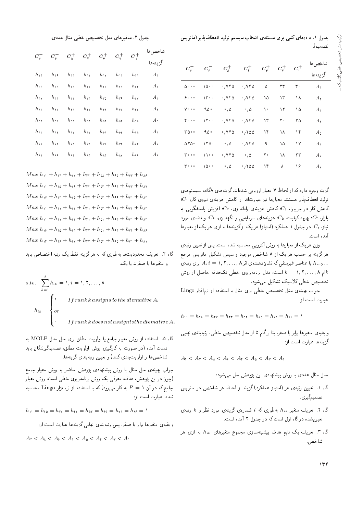جدول ۱. دادههای کمّی برای مسئلهی انتخاب سیستم تولید انعطافپذیر (ماتریس

| $C_{\rm v}^-$ | $C_{\varsigma}^-$ | $C_\delta^+$                        | $C^+_\mathfrak{r}$                 | $C^+_\mathsf{r}$ | $C^+$ | $C^+_\setminus$ | شاخصها<br>گز ينهها |
|---------------|-------------------|-------------------------------------|------------------------------------|------------------|-------|-----------------|--------------------|
| ه ه ه ۵       | ۰ ۵ (             | $\cdot$ , $\vee \uparrow \triangle$ | $\cdot$ , $\vee\mathsf{r}\,\Delta$ | ۵                | ۲۳    | ۳۰              | $A_{\lambda}$      |
| ه ه و ۶       | 1500              | $\cdot$ , $\vee \uparrow \Diamond$  | $\cdot$ , $\vee\mathsf{r}\,\Delta$ | ۱۵               | ۱۳    | ۱۸              | $A_{\mathsf{r}}$   |
| <b>V</b>      | ۹۵۰               | $\cdot$ , $\Delta$                  | $\cdot$ , $\Delta$                 | ١٠               | ۱۲    | ۱۵              | $A_{\mathbf{r}}$   |
| 000 م         | 1500              | $\cdot$ , $\vee \uparrow \triangle$ | $\cdot$ , $\vee\mathsf{r}\,\Delta$ | ۱۳               | ٢۰    | ۲۵              | $A_{\mathfrak{k}}$ |
| ۰ ه ۲         | ۹۵۰               | $\cdot$ , $\vee \uparrow \triangle$ | .700                               | ۱۴               | ١٨    | ۱۴              | $A_{\mathfrak{d}}$ |
| 0YQ           | ۲۵۰               | $\cdot$ , $\Delta$                  | $\cdot$ , $\vee\mathsf{r}\,\Delta$ | ٩                | ۱۵    | ۱۷              | $A_{\hat{z}}$      |
| ه ه ۳         | 1100              | .746                                | $\cdot$ , $\Delta$                 | ٢۰               | ۱۸    | ۲۳              | $A_{\mathsf{Y}}$   |
| ه ه ۳         | ۰ ۵ (             | $\cdot$ , $\Delta$                  | .700                               | ۱۴               | ٨     | ۱۶              | $A_{\Lambda}$      |

گزینه وجود دارد که از لحاظ ۷ معیار ارزیابی شدهاند. گزینههای ۸گانه، سیستمهای  $C_1$  تولید انعطاف یذیر هستند. معیارها نیز عبارتاند از: کاهش هزینه $S$  نیروی کار،  $C_2$ کاهش کار در جریان، ، $C$ ؛ کاهش هزینهی راهاندازی، ، $C$ ؛ افزایش پاسخگویی به بازار، ، $C$ ؛ بهبود کیفیت، ، $C_0$ ؛ هزینههای سرمایه یی و نگهداری، ء $C$ ؛ و فضای مورد نیاز، ین از بعدول ۱ عملکرد (استیاز) هر یک ازگزینهها به ازای هر یک از معیارها آمده است.

وزن هر یک از معیارها به روش آنتروپی محاسبه شده است. پس از تعیین رتبهی هرگزینه بر حسب هر یک از ۸ شاخص موجود و سپس تشکیل ماتریس مرجع برای رتبهی که نشان دهندهی اثر ۸ , . . . , ۲ , . . . , ۸ برای رتبهی  $A_i \; i = 1, 7, \ldots, \mathsf{A}$ ام ۸ , ۲, . . , ۲ , است، مدل برنامهریزی خطی تک هدفه حاصل از روش $k = \lambda, \mathbf{Y}, \ldots, \mathbf{A}$ تخصیص خطی کلاسیک تشکیل میشود.

جواب بهینهی مدل تخصیص خطی برای مثال با استفاده از نرمافزار Lingo عبارت است از:

$$
h_{yy} = h_{\tau\lambda} = h_{\tau\tau} = h_{\tau\tau} = h_{\delta\tau} = h_{\epsilon\delta} = h_{\nu\tau} = h_{\lambda\epsilon} =
$$

و بقیهی متغیرها برابر با صفر. بنا برگام ۵ از مدل تخصیص خطی، رتبهبندی نهایی گزینهها عبارت است از:

$$
A_{\rm T} < A_{\rm T} < A_{\rm A} < A_{\rm F} < A_{\rm T} < A_{\rm O} < A_{\rm V} < A_{\rm V}
$$

حال مثال عددی با روش پیشنهادی این پژوهش حل می شود:

- گام ۱. تعیین رتبهی هر (امتیاز عملکرد) گزینه از لحاظ هر شاخص در ماتریس تصميمگيري.
- گام ۲. تعریف متغیر  $h_{ik}$  بهطوری که  $i$  شمارهی گزینهی مورد نظر و  $k$  رتبهی تعیین شده درگام اول است که در جدول ۲ آمده است.
- گام ۳. تعریف یک تابع هدف بیشینهسازی مجموع متغیرهای  $h_{ik}$  به ازای هر شاخص.

جدول ٢. متغيرهاي مدل تخصيص خطي مثال عددي.

| $C_{\rm v}^-$      | $C_{\mathfrak{s}}^-$      | $C^+_\delta$             | $C_{\mathfrak{f}}^+$     | $C^+_\mathsf{r}$       | $C^+$                          | $C^+_\backslash$     | شاخص ها<br>گز ينهها |
|--------------------|---------------------------|--------------------------|--------------------------|------------------------|--------------------------------|----------------------|---------------------|
| $h_{\lambda}$      | $h_{\lambda}$             | $h_{\lambda\lambda}$     | $h_{\lambda\lambda}$     | $h_{\lambda\lambda}$   | $h_{\lambda\lambda}$           | $h_{\lambda\lambda}$ | $A_{\lambda}$       |
| $h_{\tau}$         | $h_{\tau_0}$              | $h_{\uparrow\downarrow}$ | $h_{\uparrow\downarrow}$ | $h_{11}$               | $h_{\tau_0}$                   | $h_{\tau\tau}$       | $A_1$               |
| $h_{\tau\tau}$     | $h_{\tau}$                | $h_{\tau}$               | $h_{\tau\tau}$           | $h_{\tau\varphi}$      | $h_{\tau}$                     | $h_{\tau\gamma}$     | $A_{\mathsf{r}}$    |
| $h_{rr}$           | $h_{rr}$                  | $h_{\uparrow}$           | $h_{\uparrow}$           | $h_{\uparrow\uparrow}$ | $h_{\uparrow\uparrow}$         | $h_{\tau\tau}$       | $A_{\mathfrak{k}}$  |
| $h_{\delta}$ r     | $h_{\Delta\lambda}$       | $h_{\delta}$             | $h_{\delta r}$           | $h_{\Delta r}$         | $h_{\delta r}$                 | $h_{\Delta\lambda}$  | $A_{\Delta}$        |
| $h_{\hat{\tau}_0}$ | $h_{55}$                  | $h_{55}$                 | $h_{\hat{r}}$            | $h_{ss}$               | $h_{\mathfrak{F}}$             | $h_{\epsilon_0}$     | $A_{\hat{z}}$       |
| $h_{\rm Y}$        | $h_{\rm Y}$               | $h_{\rm Y\,\textsc{i}}$  | $h_{\rm Y}$              | $h_{\nu}$              | $h_{\nu\tau}$                  | $h_{\rm vr}$         | Αv                  |
| $h_{\Lambda}$      | $h_{\Lambda\mathfrak{F}}$ | $h_{\rm AT}$             | $h_{\Lambda \Upsilon}$   | $h_{\rm AT}$           | $h_{\rm\scriptscriptstyle AV}$ | $h_{\lambda}$        | $A_{\lambda}$       |

 $Max h_{11} + h_{11} + h_{11} + h_{11} + h_{01} + h_{20} + h_{11} + h_{12}$  $Max h_{11} + h_{12} + h_{15} + h_{11} + h_{25} + h_{25} + h_{17} + h_{18}$  $Max h_{yy} + h_{yy} + h_{\tau \phi} + h_{\tau \tau} + h_{\phi \tau} + h_{\phi \phi} + h_{\gamma \phi} + h_{\phi \tau}$  $Max h_{11} + h_{11} + h_{11} + h_{11} + h_{01} + h_{21} + h_{11} + h_{11}$  $Max h_{11} + h_{11} + h_{12} + h_{21} + h_{01} + h_{21} + h_{12} + h_{13}$  $Max h_{19} + h_{10} + h_{11} + h_{11} + h_{01} + h_{21} + h_{11} + h_{12}$  $Max\ h_{11} + h_{12} + h_{11} + h_{11} + h_{21} + h_{22} + h_{11} + h_{21}$ 

گام ۴. تعریف محدودیتها به طوری که به هرگزینه فقط یک رتبه اختصاص یابد و متغیرها یا صفرند یا یک.

s.to. 
$$
\sum_{k=1}^{k} h_{ik} = 1, i = 1, 1, ..., k
$$
  

$$
h_{ik} = \begin{cases} 1 & \text{If } rank k \text{ assigns to the} \text{ } alternative A_i \\ or \\ 0 & \text{ } If } rank k \text{ does not assign to the} \text{ } alternative A_i \end{cases}
$$

گام ۵. استفاده از روش معیار جامع یا اولویت مطلق برای حل مدل MOLP به دست آمده (در صورت به کارگیری روش اولویت مطلق، تصمیمگیرندگان باید شاخصها را اولويت بندي كنند) و تعيين رتبه بندي گزينهها.

جواب بهینهی حل مثال با روش پیشنهادی پژوهش حاضر به روش معیار جامع (چون در این پژوهش، هدف، معرفی یک روش برنامه<code>ری</code>زی خطی است، روش معیار جامع که در آن ۱ $P = P$  به کار می $_{\rm g}$ رد) که با استفاده از نرم $\rm i$ وار  $\rm Lingo$  محاسبه شده، عبارت است از:

$$
h_{yy} = h_{\tau\delta} = h_{\tau\gamma} = h_{\tau\tau} = h_{\delta\tau} = h_{\varphi\delta} = h_{\gamma y} = h_{\lambda\varphi} = \lambda
$$

و بقیهی متغیرها برابر با صفر. پس رتبهبندی نهایی گزینهها عبارت است از:

$$
A_{\mathfrak k} < A_{\mathfrak k} < A_{\mathfrak k} < A_{\mathfrak k} < A_{\mathfrak b} < A_{\mathfrak k} < A_{\mathfrak k} < A
$$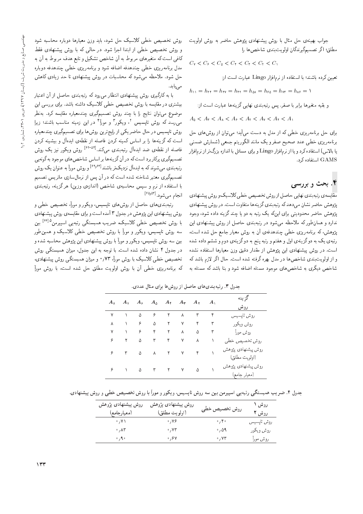جواب بهینهی حل مثال با روش پیشنهادی پژوهش حاضر به روش اولویت مطلق؛ اگر تصميمگيرندگان اولويتبندي شاخص ها را

 $C_{\rm Y} < C_{\rm P} < C_{\rm d} < C_{\rm T} < C_{\rm T} < C_{\rm Y} < C_{\rm V}$ 

تعيين كرده باشند؛ با استفاده از نرمافزار Lingo عبارت است از:

 $h_{11} = h_{11} = h_{12} = h_{11} = h_{01} = h_{20} = h_{21} = h_{12} = 1$ 

و بقيه متغيرها برابر با صفر. يس رتبهبندي نهايي گزينهها عبارت است از:

 $A_{\delta} < A_{\mathbf{r}} < A_{\delta} < A_{\mathbf{r}} < A_{\mathbf{r}} < A_{\mathbf{v}} < A_{\mathbf{r}} < A_{\mathbf{r}}$ 

برای حل برنامهریزی حضی ته از مدل به دست می ید: می توان از روس های حل<br>ماسی از این مطلب از این محمد این این این این این این محمد این این محمد این این محل برنامهریزی حظی عدد صحیح صفر و یک ماسد الدورینم جمعی اسمارس صمنی<br>اسلام علی اسلام کرد: الله علی اسلام اسلام اسلام اسلام گرم اسلام اسلام یا بالاس) استفاده کرد و یا از نرمافزار Lingo و برای مسائل با اندازه بزرگ تر از نرمافزار GAMS استفاده کرد.

#### ۴. بحث و بررسی

<mark>مقا</mark>یسهی رتبهبندی نهایی حاصل از روش تخصیص خطی کلاسیک و روش پیشنهادی<br>پژوهش حاضر نشان می دهد که رتبهبندی گزینهها متفاوت است. در روش پیشنهادی يژوهش حاضر محدوديتي براي اينكه يک رتبه به دو يا چند گزينه داده شود، وجود پڙوهس حاصر محدوديني براي اين نه يک رښه به دو يا چمد درينه داده سود، وجود<br>ما سارد و همان طور له ملاحظه می سود در رسه سدی حاصل از روس پیستهادی این<br>مسیح میسی مسیح استفاده می دانش و کلوه می کنیم و استفاده می استفاده می استفاده به موسوع این موسوع این می کنیم د پژوهش،که برنامهریزی خطی چندهدفهی آن به روش معیار جامع حل شده است،<br>رتبهی یک به دوگزینهی اول و هفتم و رتبه پنج به دوگزینهی دوم و ششم داده شده رببهی یک به دو تزییهی اول و هفتم و رببه پیج به دو تزییهی دوم و سیسم داده سده<br>است است. در روس پیستهادی این پروهس از مقدار دقیق وزن معیارها استفاده نسده<br>- ایرانی میست این مسئل کلیس از منتقل کردن ایران از انجام در این ک و از اولویتبندی شاخصها در مدل بهره گرفته شده است. حال اگر لازم باشد که شاخص دیگری به شاخصهای موجود مسئله اضافه شود و بنا باشد که مسئله به

روش تخصیص خطی کلاسیک حل شود، باید وزن معیارها دوباره محاسبه شود و روش تخصیص خطی از ابتدا اجرا شود. در حالی که با روش پیشنهادی فقط کافی است که متغیرهای مربوط به آن شاخص تشکیل و تابع هدف مربوط به آن به<br>مدل برنامهریزی خطی چندهدفه اضافه شود و برنامهریزی خطی چندهدفه دوباره مدل برنامهریزی حضی چمدهدفه اصافه سود و برنامهریزی حضی چمدهدفه دوباره<br>است و این استفاده حل سود. ملاحظه می سود له محاسبات در روس پیستهادی تا حد زیادی داهس<br>این می،یابد.<br>با به کارگیری روش پیشنهادی انتظار می,رود که رتبهبندی حاصل از آن اعتبار

Q=@Da= u; R= pY=L |Ov@x@DQ xm OwQ|t Q=\_Dv= |O=yvW}B VwQ |Q}oQ=m x@ =@ بیستری در مقایسه با روس تحصیص حطی دارسیف داسته باسد. برای بررسی این<br>مقایست استفاده از این سوم باست و باشیم می باشد. موضوع مى توان نتايج را با چند روش تصميمگيرى چندمعياره مقايسه كرد. بەنظر می رسد که روش تاپسیس '، ویکور' و مورا ' در این زمینه مناسب باشند؛ زیرا<br>منسط روش تابسیس در حال حاضر یکی از رایج ترین روش ها برای تصمیمگیری چندمعیاره است که گزینهها را بر اساس کمینه کردن فاصله از نقطهی ایدهآل و بیشینه کردن فاصله از نقطهى ضد ايدهأل رتبهبندى مىكند.<sup>[۶۰۵۴]</sup> روش ويكور نيز يك روش<br>-|}xvwo x@ OwHwt |=yXN=W T=U= Q@ =yxv} Ro u; QO xm CU= OQ@Q=mQB |Q}os}tYD رتبهبندی می شوند که به ایدهآل نزدیک تر باشند<sup>[۶۴٫۶۲]</sup> و روش موراً به عنوان یک روش<br>s}tYD T} QD=t |R=Up=tQv R= TB u; QO xm CU= xOW xDN=vW Q@Dat |Q}os}tYD با استفاده از ترم و سپ*س محاسبهی ساخص (اندازه*ی وزین) هر ترینه، رتبهبندی<br>استمداد از درم و انجام مىشود.<sup>[۵۶]</sup><br>-

رتبهبندیهای حاصل از روشهای تاپسیس، ویکور و موراً، تخصیص خطی و<br>روش پیشنهادی این پژوهش در جدول ۳ آمده است و برای مقایسهی روش پیشنهادی روس پیستهادی این پژوهس در جدول ۱ آمده است و برای مقایسهی روس پیستها دی<br>است. مقدار است با روش تخصیص خطی کلاسیک، ضریب همبستگی رتبهیی اسپیرمن<sup>۱۶۶</sup>ا بین<br>مارسلسلسلم کرده کولس است. سه روش تایسیس، ویکور و موراً با روش تخصیص خطی کلاسیک و همین *طو*ر بین سه روش تایسیس، ویکور و مورآ با روش پیشنهادی این پژوهش محاسبه شده و در جدول ۴ نشان داده شده است. با توجه به این جدول، میزان همبستگی روش تخصیص خطی کلاسیک با روش موراً، ۷۳ <sub>(</sub> <sub>°</sub> و میزان همبستگی روش پیشنهادی، كه برنامهريزى خطى أن با روش اولويت مطلق حل شده است، با روش موراً

| $A_{\Lambda}$ | $A_{\rm V}$ | $A_{\hat{r}}$ | $A_{\Delta}$ | $A_{\mathfrak{k}}$ | $A_{\mathbf{r}}$ | $A_{\mathsf{Y}}$ | $A_{\lambda}$ | گز ينه<br>روش                       |
|---------------|-------------|---------------|--------------|--------------------|------------------|------------------|---------------|-------------------------------------|
| ٧             |             | ۵             | ۶            | ٢                  | ٨                | ٣                | ۴             | روش تايسيس                          |
| ٨             |             | ۶             | ۵            | ٢                  | ٧                | ۴                | ٣             | روش ويكور                           |
| ٧             |             | ۶             | ۴            | ۲                  | ٨                | ۵                | ٣             | روش مورآ                            |
| ۶             | ۲           | ۵             | ٣            | ۴                  | ٧                | ٨                |               | روش تخصيص خطى                       |
| ۶             |             | ۵             | ٨            | $\mathsf{r}$       | ٧                | ۴                |               | روش پیشنهادی پژوهش<br>(اولويت مطلق) |
| ۶             |             | ۵             | $\mathsf{r}$ | ٢                  | ٧                | ۵                |               | روش پیشنهادی پژوهش<br>(معيار جامع)  |
|               |             |               |              |                    |                  |                  |               |                                     |

حدول ۳. رتبه بندی های حاصل از روش ها برای مثال عددی.

جدول ۴. ضریب همبستگی رتبه پی اسپیرمن بین سه روش تایسیس، ویکور و موراً با روش تخصیص خطی و روش پیشنهادی.

| روش پیشنهادی پژوهش<br>(معيارجامع) | روش پیشنهادی پژوهش<br>(اولويت مطلق) | روش تخصيص خطى                    | روش ۱<br>روش ۲ |
|-----------------------------------|-------------------------------------|----------------------------------|----------------|
| $\cdot$ , Y \                     | $\cdot$ , YS                        | $\circ$ , $\uparrow \circ$       | روش تاپسیس     |
| $\cdot$ , $\wedge\tau$            | $\cdot$ , $\mathsf{Y}\mathsf{Y}$    | ۵۹ ه                             | روش ويكور      |
| 0,90                              | ۰,۶۷                                | $\cdot$ , $\mathsf{Y}\mathsf{Y}$ | روش مورآ       |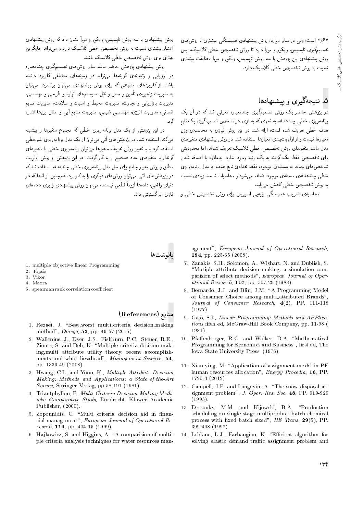|=yVwQ =@ |QDW}@ |oDU@ty |O=yvW}B VwQ 'OQ=wt Q}=U QO |rw &CU= 0 67 تصميم يرى "پسيس" ويدور و مورا دارد " روس تحصيص حصى دارسيف. پس<br>مسيح السياسي روش پیشنهادی این پژوهش با سه روش تاپسیس، ویکور و موراً مطابقت بیشتری .<br>نسبت به روش تخصیص خطی کلاسیک دارد.

## ۵. نتیجهگیری و پیشنهادها

در پژوهش حاضر یک روش تصمیمگیری چندمعیاره معرفی شد که در آن یک برنامهریزی خطبی چندهدفه، به نحوی که به ازای هر شاخص تصمیمگیری یک تابع هدف خطی تعریف شده است، ارائه شد. در این روش نیازی به محاسبهی وزن معیارها نیست و از اولویت<sub>ا</sub>بندی معیارها استفاده شد. در روش پیشنهادی متغیرهای<br>مدل مانند متغیرهای روش تخصیص خطی کلاسیک تعریف شدند، اما محدودیتی برای تخصیص فقط یک گزینه به یک رتبه وجود ندارد. بهعلاوه با اضافه شدن برای تحصیص فقط یک دریه به یک رسه وجود شارد. به علاوه با اصافه سدن<br>ما مساحد ساحص های جدید به مستلهی موجود، فقط بعدادی بابع هدف به مدل برنامه ریزی<br>مسلم است. خطی چندهدفهی مسئلهی موجود اضافه میشود و محاسبات تا حد زیادی نسبت<br>به روش تخصیص خطی کاهش میرباید. به روس تحصیص حظی ناهس می یابد.<br>|-

محاسبه ی صریب همبسدگی رسهیی اسپیرمن برای روس تحصیص حطی و

روس پیسهادی با سه روس ناپسیس، ویکور و مورا سنان داد که روس پیسهادی<br>ایران اسل اعتبار بیستری سبب به روس تحصیص حطی دارسیک دارد و می واند جایدزین<br>مسافر است. بهترى براى روش تخصيص خطى كلاسيك باشد.

روش پیشنهادی پژوهش حاضر مانند سایر روش های تصمیمگیری چندمعیاره در ارزیابی و رتبهبندی گزینهها میتواند در زمینههای مختلفی کاربرد داشته<br>باشد. از کاربردهای متنوعی که برای روش پیشنهادی میتوان برشمرد، میتوان باسد. از تاربردهای مسوعی نه برای روس پیسپادی می وان برسمرد، می وان<br>است. به مدیریت زنجیرهی تامین و حمل و نقل، سیستمهای تولید و طراحی و مهندسی،<br>این ایران این این این این موارد می باید. مدیریت بازاریابی و تجارت، مدیریت محیط و امیت و سلامت، مدیریت منابع<br>اساسی استاد انسانی، مدیریت انرژی، مهمدسی سیمی، مدیریت منابع ابی و امنال این۱۵ اساره<br>بر ك, د.

در این پژوهش از یک مدل برنامهریزی خطی که مجموع متغیرها را بیشینه<br>میکند، استفاده شد. در بژوهش های آتی میتوان از یک مدل برنامهریزی غیرخطی استفاده كرد يا با تغيير روش تعريف متغيرها مى توان برنامهريزي خطى با متغيرهاي استفاده درد یا با تعییر روس تعریف متعیرها می توان برنامه ریزی حصی با متعیرهای<br>کابیات است دراندار یا متعیرهای عدد صحیح را به نار درفت. در این پژوهس از روس اونویت<br>با ا مطلق و روش معیار جامع برای حل مدل برنامه ریزی خطی چندهدفه استفاده شد که در پژوهشهای آنی میتوان روشهای دیگری را به کار برد. همچنین از آنجا که در دنیای واقعی، دادهها لزوما قطعی نیستند، می توان روش پیشنهادی را برای دادههای<br>۱۰ فازی نیز گسترش داد.

پانوشتها

- 1. multiple objective linear Programming
- 2. Topsis
- 3. Vikor 4. Moora
- 5. spearman rank correlation coefficient

#### منابع (References)

- 1. Rezaei, J. "Best worst multi criteria decision making method", Omega, 53, pp. 49-57 (2015).
- 2. Wallenius, J., Dyer, J.S., Fishburn, P.C., Steuer, R.E., Zionts, S. and Deb, K. "Multiple criteria decision making,multi attribute utility theory: recent accomplishments and what liesahead", Management Science, 54, pp. 1336-49 (2008).
- 3. Hwang, C.L. and Yoon, K., Multiple Attribute Decision Making: Methods and Applications: a State\_of\_the-Art Survey, Springer-Veriag, pp.58-191 (1981).
- 4. Triantphyllou, E. Multi<sub>-Criteria</sub> Decision Making Methods: Comparative Study, Dordrecht. Kluwer Academic Publisher, (2000).
- 5. Zopounidis, C. "Multi criteria decision aid in financial management", European Journal of Operational Research,  $119$ , pp. 404-15 (1999).
- 6. Hajkowicz, S. and Higgins, A. "A comparision of multiple criteria analysis techniques for water resources man-

agement", European Journal of Operational Research, 184, pp. 225-65 (2008).

- 7. Zanakis, S.H., Solomon, A., Wishart, N. and Dublish, S. \Mutiple attribute decision making: a simulation comparision of select methods", European Journal of Operational Research, 107, pp. 507-29 (1988).
- 8. Bernardo, J.J. and Blin, J.M. \A Programming Model of Consumer Choice among multi attributed Brands", Journal of Consumer Research, 4(2), PP. 111-118 (1977).
- 9. Gass, S.I., Linear Programming: Methods and APPlications fth ed, McGraw-Hill Book Company, pp. 11-98 ( 1984).
- 10. Pfaffenberger, R.C. and Walker, D.A. "Mathematical Programming for Economics and Business", first ed. The Iowa State University Press, (1976).
- 11. Xian-ying, M. "Application of assignment model in PE human resources allocation", Energy Procedia, 16, PP. 1720-3 (2012).
- 12. Campell, J.F. and Langevin, A. \The snow disposal assignment problem", J. Oper. Res. Soc, 48, PP. 919-929 (1995).
- 13. Dessouky, M.M. and Kijowski, B.A. \Production scheduling on single-stage multiproduct batch chemical process with fixed batch sized", IIE Trans, 29(5), PP. 399-408 (1997).
- 14. Leblanc, L.J., Farhangian, K. "Efficient algorithm for solving elastic demand traffic assignment problem and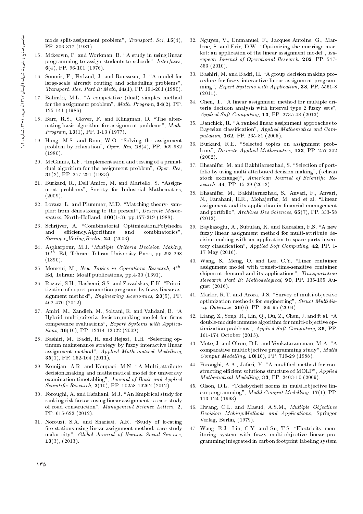mode split-assignment problem", Transport. Sci, 15(4), PP. 306-317 (1981).

- 15. Mckeown, P. and Workman, B. "A study in using linear programming to assign students to schools", Interfaces, 6(4), PP. 96-101 (1976).
- 16. Soumis, F., Ferland, J. and Rousseau, J. \A model for large-scale aircraft routing and scheduling problems", Transport. Res. Part B: Meth, 14(1), PP. 191-201 (1980).
- 17. Balinski, M.L. "A competitive (dual) simplex method for the assignment problem", Math. Program, 34(2), PP. 125-141 (1986).
- 18. Barr, R.S., Glover, F. and Klingman, D. \The alternating basis algorithm for assignment problems", Math. Program, 13(1), PP. 1-13 (1977).
- 19. Hung, M.S. and Rom, W.O. "Solving the assignment problem by relaxation",  $Oper.$   $Res.$   $28(4)$ , PP. 969-982 (1980).
- 20. McGinnis, L.F. "Implementation and testing of a primaldual algorithm for the assignment problem", Oper. Res, 31(2), PP. 277-291 (1983).
- 21. Burkard, R., Dell'Amico, M. and Martello, S. "Assignment problems", Society for Industrial Mathematics, (2009).
- 22. Lovasz, L. and Plummar, M.D. "Matching theory- sampler: from dénes könig to the present", Descrete Mathematics, North-Holland, 100(1-3), pp.177-219 (1988).
- 23. Schrijver, A. "Combinatorial Optimization.Polyhedra and efficiency. Algorithms and combinatorics",  $Springer_{\neg} Verlag, Berlin, 24, (2003).$
- 24. Asgharpour, M.J. `Multiple Criteria Decision Making,  $10^{th}$ . Ed, Tehran: Tehran University Press, pp.293-298 (1390).
- 25. Momeni, M., New Topics in Operations Research, 4<sup>th</sup>. Ed, Tehran: Moalf publications, pp.4-30 (1391).
- 26. Razavi, S.H., Hashemi, S.S. and Zavadskas, E.K. \Prioritization of expert promotion programs by fuzzy linear assignment method", Engineering Economics, 23(5), PP. 462-470 (2012).
- 27. Amiri, M., Zandieh, M., Soltani, R. and Vahdani, B. "A Hybrid multi\_criteria decision\_making model for firms competence evaluations", Expert Systems with Applications, 36(10), PP. 12314-12322 (2009).
- 28. Bashiri, M., Badri, H. and Hejazi, T.H. "Selecting optimum maintenance strategy by fuzzy interactive linear assignment method", Applied Mathematical Modelling,  $35(1)$ , PP. 152-164 (2011).
- 29. Komijan, A.R. and Koupaei, M.N. "A Multi\_attribute decision making and mathematical model for university examination timetabling", Journal of Basic and Applied Scientific Research, 2(10), PP. 10258-10262 (2012).
- 30. Foroughi, A. and Esfahani, M.J. "An Empirical study for ranking risk factors using linear assignment : a case study of road construction", Management Science Letters, 2, PP. 615-622 (2012).
- 31. Norouzi, S.A. and Shariati, A.R. "Study of locating fire stations using linear assignment method: case study maku city", Global Journal of Human Socail Science,  $13(3), (2013).$
- 32. Nguyen, V., Emmanuel, F., Jacques Antoine, G., Marlene, S. and Eric, D.W. "Optimizing the marriage market: an application of the linear assignment model",  $Eu$ ropean Journal of Operational Research, 202, PP. 547- 553 (2010).
- 33. Bashiri, M. and Badri, H. "A group decision making procedure for fuzzy interactive linear assignment programming", Expert Systems with Application, 38, PP. 5561-8  $(2011).$
- 34. Chen, T. "A linear assignment method for multiple criteria decision analysis with interval type 2 fuzzy sets", Applied Soft Computing, 13, PP. 2735-48 (2013).
- 35. Danchick, R. "A ranked linear assignment approaches to Bayesian classication", Applied Mathematics and Computation, 162, PP. 265-81 (2005).
- 36. Burkard, R.E. "Selected topics on assignment problems", Discrete Applied Mathematics, 123, PP. 257-302 (2002).
- 37. Ehsanifar, M. and Bakhtiarnezhad, S. "Selection of portfolio by using multi attributed decision making", (tehran stock exchange)", American Journal of Scientific Research, 44, PP. 15-29 (2012).
- 38. Ehsanifar, M., Bakhtiarnezhad, S., Anvari, F., Anvari, N., Farahani, H.R., Mohajerfar, M. and et al. "Linear assignment and its application in financial management and portfolio", Archives Des Sciences, 65(7), PP. 333-58 (2012).
- 39. Baykasoglu, A., Subulan, K. and Karaslan, F.S. \A new fuzzy linear assignment method for multi-attribute decision making with an application to spare parts inventory classication", Applied Soft Computing, 42, PP. 1- 17 May (2016).
- 40. Wang, S., Meng, O. and Lee, C.Y. "Liner container assignment model with transit-time-sensitive container shipment demand and its applications", Transportation Research Part B: Methodological, 90, PP. 135-155 August (2016).
- 41. Marler, R.T. and Arora, J.S. "Survey of multi-objective optimization methods for engineering", Struct Multidiscip Optimize,  $26(6)$ , PP. 369-95 (2004).
- 42. Liang, Z., Song, R., Lin, Q., Du, Z., Chen, J. and ft al. \A double-module immune algorithm for multi-objective optimization problems", Applied Soft Computing, 35, PP. 161-174 October (2015).
- 43. Mote, J. and Olson, D.L. and Venkataramanan, M.A. "A comparative multiobjective programming study", Mathl Comput Modelling, 10(10), PP. 719-29 (1988).
- 44. Foroughi, A.A., Jafari, Y. "A modified method for constructing efficient solutions structure of MOLP", Applied Mathematical Modelling, 33, PP. 2403-10 (2009).
- 45. Olson, D.L. "Tchebycheff norms in multi-objective linear programming", Mathl Comput Modelling, 17(1), PP. 113-124 (1993).
- 46. Hwang, C.L. and Masud, A.S.M., Multiple Objectives Decision Making:Methods and Applications, Springer Verlag, Berlin, (1979).
- 47. Wang, E.J., Lin, C.Y. and Su, T.S. \Electricity monitoring system with fuzzy multi-objective linear programming integrated in carbon footprint labeling system